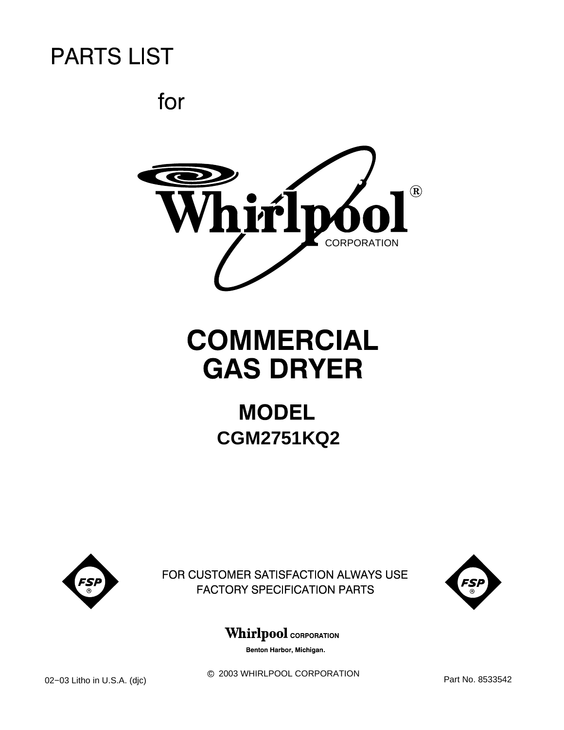for



# **COMMERCIAL GAS DRYER**

## **MODEL CGM2751KQ2**



FOR CUSTOMER SATISFACTION ALWAYS USE **FACTORY SPECIFICATION PARTS** 



**Whirlpool** CORPORATION

Benton Harbor, Michigan.

 $©$  2003 WHIRLPOOL CORPORATION 02−03 Litho in U.S.A. (djc) <sup>D</sup> 2003 WHIRLPOOL CORPORATION Part No. 8533542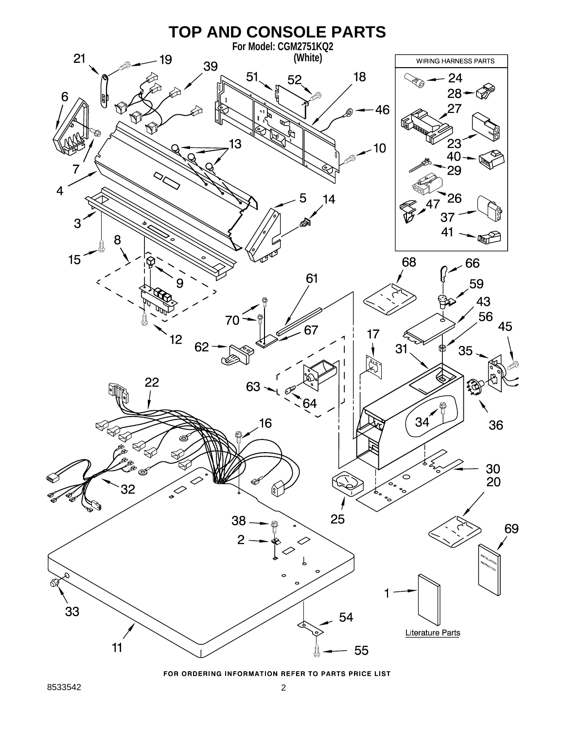

FOR ORDERING INFORMATION REFER TO PARTS PRICE LIST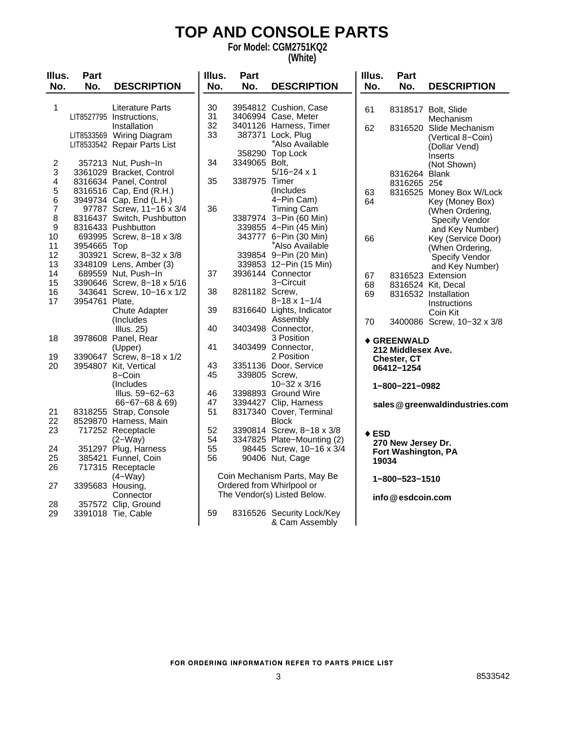### **TOP AND CONSOLE PARTS**

**For Model: CGM2751KQ2**

#### **(White)**

| Illus.                                           | Part           |                                                                                                                                                                 | Illus.               | Part                           |                                                                                                                                                                     | Illus.          | Part                                                              |                                                                                                                        |
|--------------------------------------------------|----------------|-----------------------------------------------------------------------------------------------------------------------------------------------------------------|----------------------|--------------------------------|---------------------------------------------------------------------------------------------------------------------------------------------------------------------|-----------------|-------------------------------------------------------------------|------------------------------------------------------------------------------------------------------------------------|
| No.                                              | No.            | <b>DESCRIPTION</b>                                                                                                                                              | No.                  | No.                            | <b>DESCRIPTION</b>                                                                                                                                                  | No.             | No.                                                               | <b>DESCRIPTION</b>                                                                                                     |
| $\mathbf{1}$                                     |                | <b>Literature Parts</b><br>LIT8527795 Instructions,<br>Installation<br>LIT8533569 Wiring Diagram<br>LIT8533542 Repair Parts List                                | 30<br>31<br>32<br>33 |                                | 3954812 Cushion, Case<br>3406994 Case, Meter<br>3401126 Harness, Timer<br>387371 Lock, Plug<br>*Also Available                                                      | 61<br>62        |                                                                   | 8318517 Bolt, Slide<br>Mechanism<br>8316520 Slide Mechanism<br>(Vertical 8-Coin)<br>(Dollar Vend)                      |
| $\overline{c}$<br>3<br>4<br>5<br>6               |                | 357213 Nut, Push-In<br>3361029 Bracket, Control<br>8316634 Panel, Control<br>8316516 Cap, End (R.H.)<br>3949734 Cap, End (L.H.)                                 | 34<br>35             | 3349065 Bolt,<br>3387975 Timer | 358290 Top Lock<br>$5/16 - 24 \times 1$<br>(Includes)<br>4-Pin Cam)                                                                                                 | 63<br>64        | 8316264 Blank<br>8316265 25¢                                      | Inserts<br>(Not Shown)<br>8316525 Money Box W/Lock<br>Key (Money Box)                                                  |
| $\overline{7}$<br>8<br>9<br>10<br>11<br>12<br>13 | 3954665 Top    | 97787 Screw, 11-16 x 3/4<br>8316437 Switch, Pushbutton<br>8316433 Pushbutton<br>693995 Screw, 8-18 x 3/8<br>303921 Screw, 8-32 x 3/8<br>3348109 Lens, Amber (3) | 36                   |                                | <b>Timing Cam</b><br>3387974 3-Pin (60 Min)<br>339855 4-Pin (45 Min)<br>343777 6-Pin (30 Min)<br>*Also Available<br>339854 9-Pin (20 Min)<br>339853 12-Pin (15 Min) | 66              |                                                                   | (When Ordering,<br>Specify Vendor<br>and Key Number)<br>Key (Service Door)<br>(When Ordering,<br><b>Specify Vendor</b> |
| 14<br>15<br>16<br>17                             | 3954761 Plate, | 689559 Nut, Push-In<br>3390646 Screw, 8-18 x 5/16<br>343641 Screw, 10-16 x 1/2<br>Chute Adapter                                                                 | 37<br>38<br>39       | 8281182 Screw,                 | 3936144 Connector<br>3-Circuit<br>$8 - 18 \times 1 - 1/4$<br>8316640 Lights, Indicator                                                                              | 67<br>68<br>69  |                                                                   | and Key Number)<br>8316523 Extension<br>8316524 Kit, Decal<br>8316532 Installation<br>Instructions                     |
| 18                                               |                | (Includes<br><b>Illus. 25)</b><br>3978608 Panel, Rear                                                                                                           | 40                   |                                | Assembly<br>3403498 Connector,<br>3 Position                                                                                                                        | 70              | ◆ GREENWALD                                                       | Coin Kit<br>3400086 Screw, 10-32 x 3/8                                                                                 |
| 19<br>20                                         |                | (Upper)<br>3390647 Screw, 8-18 x 1/2<br>3954807 Kit, Vertical<br>8-Coin<br>(Includes<br>Illus. 59-62-63                                                         | 41<br>43<br>45<br>46 | 339805 Screw,                  | 3403499 Connector,<br>2 Position<br>3351136 Door, Service<br>10-32 x 3/16<br>3398893 Ground Wire                                                                    |                 | 212 Middlesex Ave.<br>Chester, CT<br>06412-1254<br>1-800-221-0982 |                                                                                                                        |
| 21<br>22<br>23                                   |                | $66 - 67 - 68$ & 69)<br>8318255 Strap, Console<br>8529870 Harness, Main<br>717252 Receptacle                                                                    | 47<br>51<br>52       |                                | 3394427 Clip, Harness<br>8317340 Cover, Terminal<br><b>Block</b><br>3390814 Screw, 8-18 x 3/8                                                                       | $\triangle$ ESD |                                                                   | sales @greenwaldindustries.com                                                                                         |
| 24<br>25<br>26                                   |                | $(2-Way)$<br>351297 Plug, Harness<br>385421 Funnel, Coin<br>717315 Receptacle                                                                                   | 54<br>55<br>56       |                                | 3347825 Plate-Mounting (2)<br>98445 Screw, 10-16 x 3/4<br>90406 Nut, Cage                                                                                           | 19034           | 270 New Jersey Dr.<br>Fort Washington, PA                         |                                                                                                                        |
| 27                                               |                | $(4-Way)$<br>3395683 Housing,<br>Connector                                                                                                                      |                      |                                | Coin Mechanism Parts, May Be<br>Ordered from Whirlpool or<br>The Vendor(s) Listed Below.                                                                            |                 | 1-800-523-1510<br>info@esdcoin.com                                |                                                                                                                        |
| 28<br>29                                         |                | 357572 Clip, Ground<br>3391018 Tie, Cable                                                                                                                       | 59                   |                                | 8316526 Security Lock/Key<br>& Cam Assembly                                                                                                                         |                 |                                                                   |                                                                                                                        |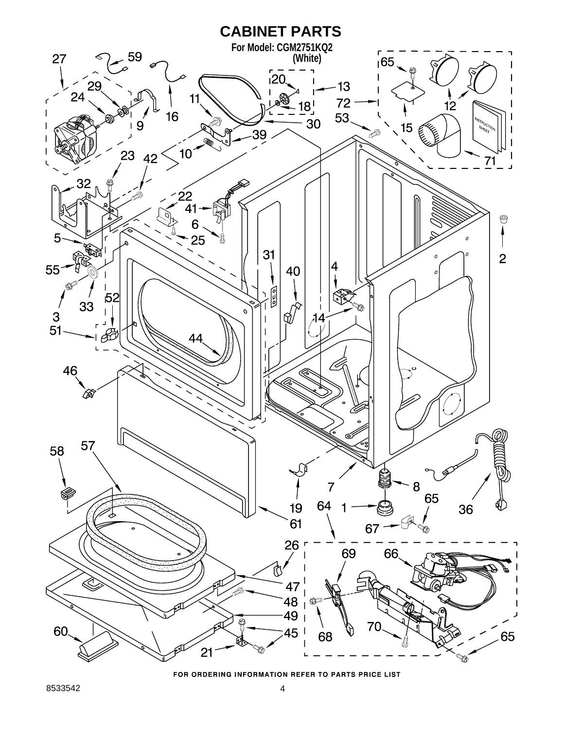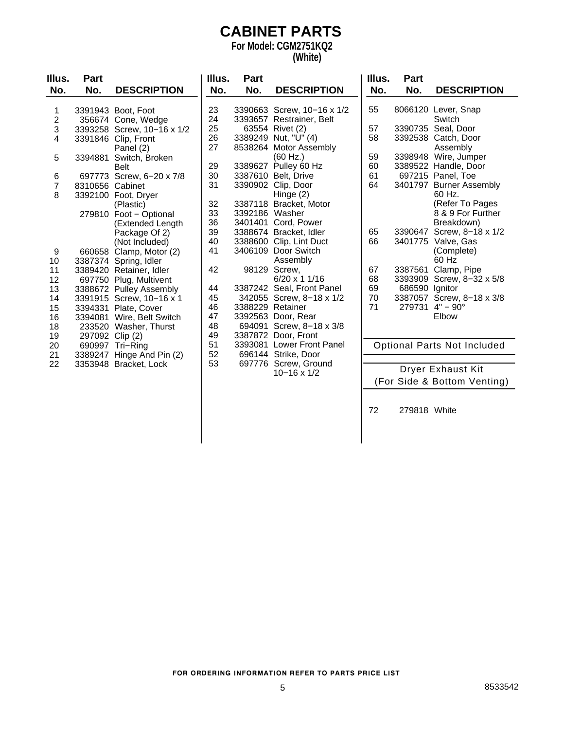#### **CABINET PARTS For Model: CGM2751KQ2**

#### **(White)**

| Illus.<br>No.           | Part<br>No. | <b>DESCRIPTION</b>          | Illus.<br>No. | Part<br>No.         |
|-------------------------|-------------|-----------------------------|---------------|---------------------|
| 1                       | 3391943     | Boot, Foot                  | 23            | 339066              |
| $\overline{\mathbf{c}}$ | 356674      | Cone, Wedge                 | 24            | 3393657             |
| 3                       | 3393258     | Screw, 10-16 x 1/2          | 25            | 63554               |
| 4                       | 3391846     | Clip, Front                 | 26<br>27      | 3389249<br>8538264  |
| 5                       | 3394881     | Panel (2)<br>Switch, Broken |               |                     |
|                         |             | <b>Belt</b>                 | 29            | 3389627             |
| 6                       | 697773      | Screw, 6-20 x 7/8           | 30            | 3387610             |
| 7                       | 8310656     | Cabinet                     | 31            | 3390902             |
| 8                       | 3392100     | Foot, Dryer                 |               |                     |
|                         |             | (Plastic)                   | 32            | 3387118             |
|                         | 279810      | Foot - Optional             | 33            | 339218              |
|                         |             | (Extended Length            | 36            | 340140 <sup>-</sup> |
|                         |             | Package Of 2)               | 39            | 3388674             |
|                         |             | (Not Included)              | 40            | 338860              |
| 9                       | 660658      | Clamp, Motor (2)            | 41            | 3406109             |
| 10                      | 3387374     | Spring, Idler               |               |                     |
| 11                      | 3389420     | Retainer, Idler             | 42            | 98129               |
| 12                      | 697750      | Plug, Multivent             |               |                     |
| 13                      | 3388672     | <b>Pulley Assembly</b>      | 44            | 3387242             |
| 14                      | 3391915     | Screw, 10-16 x 1            | 45            | 34205               |
| 15                      | 3394331     | Plate, Cover                | 46            | 3388229             |
| 16                      | 3394081     | Wire, Belt Switch           | 47            | 339256              |
| 18                      | 233520      | Washer, Thurst              | 48            | 69409 <sup>-</sup>  |
| 19                      | 297092      | Clip(2)                     | 49            | 3387872             |
| 20                      | 690997      | Tri-Ring                    | 51            | 339308              |
| 21                      | 3389247     | Hinge And Pin (2)           | 52            | 69614               |
| 22                      | 3353948     | Bracket, Lock               | 53            | 69777               |

| No.      | No.                | <b>DESCRIPTION</b>        |
|----------|--------------------|---------------------------|
|          |                    |                           |
| 23<br>24 | 3390663<br>3393657 | Screw, 10-16 x 1/2        |
| 25       | 63554              | Restrainer, Belt          |
| 26       | 3389249            | Rivet (2)<br>Nut, "U" (4) |
| 27       | 8538264            | Motor Assembly            |
|          |                    | (60 Hz.)                  |
| 29       | 3389627            | Pulley 60 Hz              |
| 30       | 3387610            | Belt, Drive               |
| 31       | 3390902            | Clip, Door                |
|          |                    | Hinge (2)                 |
| 32       | 3387118            | Bracket, Motor            |
| 33       | 3392186            | Washer                    |
| 36       | 3401401            | Cord, Power               |
| 39       | 3388674            | Bracket, Idler            |
| 40       | 3388600            | Clip, Lint Duct           |
| 41       | 3406109            | Door Switch               |
|          |                    | Assembly                  |
| 42       | 98129              | Screw.                    |
|          |                    | 6/20 x 1 1/16             |
| 44       | 3387242            | Seal, Front Panel         |
| 45       | 342055             | Screw, 8–18 x 1/2         |
| 46       | 3388229            | Retainer                  |
| 47       | 3392563            | Door, Rear                |
| 48       | 694091             | Screw, 8-18 x 3/8         |
| 49       | 3387872            | Door, Front               |
| 51       | 3393081            | <b>Lower Front Panel</b>  |
| 52       | 696144             | Strike, Door              |
| 53       | 697776             | Screw, Ground             |
|          |                    | $10 - 16 \times 1/2$      |

| Illus.                     | Part                                              |                                                                                                                        |
|----------------------------|---------------------------------------------------|------------------------------------------------------------------------------------------------------------------------|
| No.                        | No.                                               | <b>DESCRIPTION</b>                                                                                                     |
| 55                         | 8066120                                           | Lever, Snap<br>Switch                                                                                                  |
| 57<br>58                   | 3390735<br>3392538                                | Seal, Door<br>Catch, Door<br>Assembly                                                                                  |
| 59<br>60<br>61<br>64       | 3398948<br>3389522<br>697215<br>3401797           | Wire, Jumper<br>Handle, Door<br>Panel, Toe<br><b>Burner Assembly</b><br>60 Hz.<br>(Refer To Pages<br>8 & 9 For Further |
| 65<br>66                   | 3390647<br>3401775                                | Breakdown)<br>Screw, 8-18 x 1/2<br>Valve, Gas<br>(Complete)<br>60 Hz                                                   |
| 67<br>68<br>69<br>70<br>71 | 3387561<br>3393909<br>686590<br>3387057<br>279731 | Clamp, Pipe<br>Screw, 8-32 x 5/8<br>Ignitor<br>Screw, 8-18 x 3/8<br>$4" - 90°$<br>Elbow                                |

Optional Parts Not Included

Dryer Exhaust Kit (For Side & Bottom Venting)

72 279818 White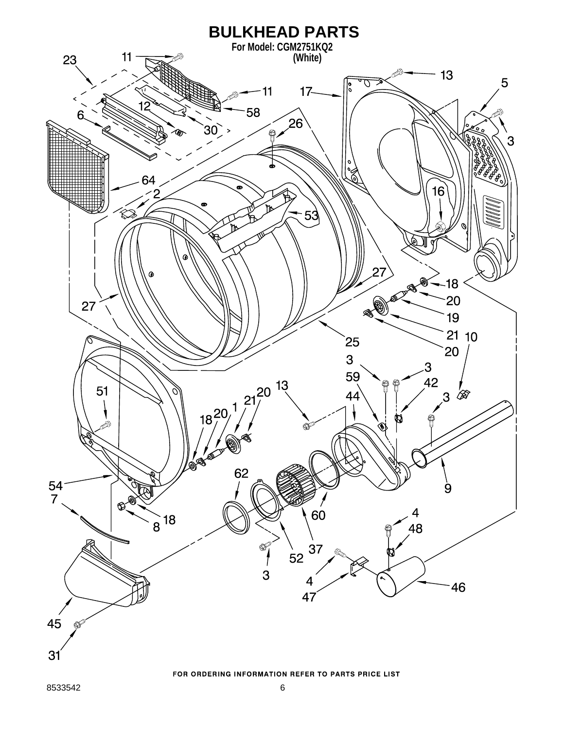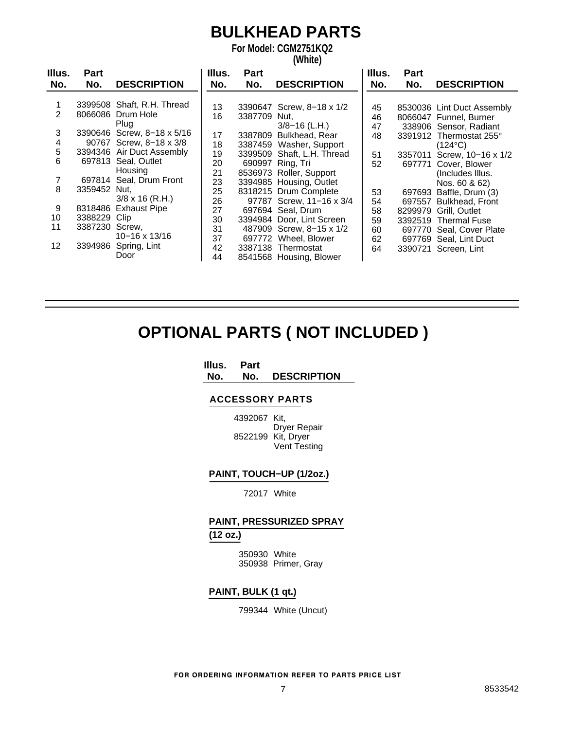### **BULKHEAD PARTS**

**For Model: CGM2751KQ2 (White)**

| Illus.          | <b>Part</b>  |                            | Illus. | <b>Part</b> |                           | Illus. | <b>Part</b> |                            |
|-----------------|--------------|----------------------------|--------|-------------|---------------------------|--------|-------------|----------------------------|
| No.             | No.          | <b>DESCRIPTION</b>         | No.    | No.         | <b>DESCRIPTION</b>        | No.    | No.         | <b>DESCRIPTION</b>         |
|                 |              |                            |        |             |                           |        |             |                            |
|                 |              | 3399508 Shaft, R.H. Thread | 13     |             | 3390647 Screw, 8-18 x 1/2 | 45     |             | 8530036 Lint Duct Assembly |
| 2               |              | 8066086 Drum Hole          | 16     | 3387709     | Nut.                      | 46     |             | 8066047 Funnel, Burner     |
|                 |              | Plug                       |        |             | $3/8 - 16$ (L.H.)         | 47     |             | 338906 Sensor, Radiant     |
| 3               |              | 3390646 Screw, 8-18 x 5/16 | 17     | 3387809     | Bulkhead, Rear            | 48     |             | 3391912 Thermostat 255°    |
| 4               |              | 90767 Screw, 8-18 x 3/8    | 18     | 3387459     | Washer, Support           |        |             | $(124^{\circ}C)$           |
| 5               |              | 3394346 Air Duct Assembly  | 19     | 3399509     | Shaft, L.H. Thread        | 51     | 3357011     | Screw, 10-16 x 1/2         |
| 6               |              | 697813 Seal, Outlet        | 20     | 690997      | Ring, Tri                 | 52     | 697771      | Cover, Blower              |
|                 |              | Housing                    | 21     |             | 8536973 Roller, Support   |        |             | (Includes Illus.           |
|                 |              | 697814 Seal, Drum Front    | 23     |             | 3394985 Housing, Outlet   |        |             | Nos. 60 & 62)              |
| 8               | 3359452 Nut, |                            | 25     |             | 8318215 Drum Complete     | 53     | 697693      | Baffle, Drum (3)           |
|                 |              | $3/8 \times 16$ (R.H.)     | 26     |             | 97787 Screw, 11-16 x 3/4  | 54     | 697557      | <b>Bulkhead, Front</b>     |
| 9               |              | 8318486 Exhaust Pipe       | 27     |             | 697694 Seal, Drum         | 58     |             | 8299979 Grill, Outlet      |
| 10              | 3388229 Clip |                            | 30     |             | 3394984 Door, Lint Screen | 59     | 3392519     | <b>Thermal Fuse</b>        |
| 11              | 3387230      | Screw,                     | 31     |             | 487909 Screw, 8-15 x 1/2  | 60     | 697770      | Seal, Cover Plate          |
|                 |              | $10 - 16 \times 13/16$     | 37     |             | 697772 Wheel, Blower      | 62     |             | 697769 Seal, Lint Duct     |
| 12 <sup>2</sup> | 3394986      | Spring, Lint               | 42     |             | 3387138 Thermostat        | 64     |             | 3390721 Screen, Lint       |
|                 |              | Door                       | 44     |             | 8541568 Housing, Blower   |        |             |                            |

### **OPTIONAL PARTS ( NOT INCLUDED )**

#### **Illus. Part No. No. DESCRIPTION**

#### **ACCESSORY PARTS**

4392067 Kit, Dryer Repair 8522199 Kit, Dryer Vent Testing

#### **PAINT, TOUCH−UP (1/2oz.)**

72017 White

#### **PAINT, PRESSURIZED SPRAY (12 oz.)**

350930 White 350938 Primer, Gray

#### **PAINT, BULK (1 qt.)**

799344 White (Uncut)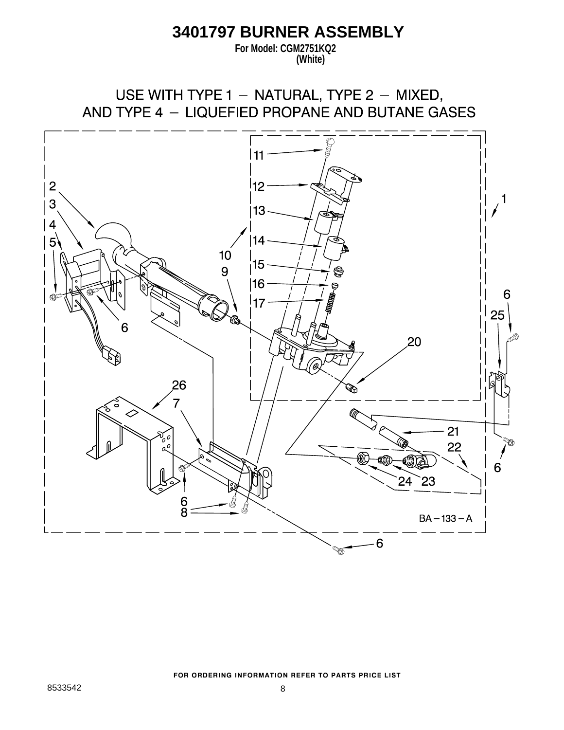### **3401797 BURNER ASSEMBLY**

**For Model: CGM2751KQ2 (White)**

USE WITH TYPE 1 - NATURAL, TYPE 2 - MIXED, AND TYPE 4 - LIQUEFIED PROPANE AND BUTANE GASES